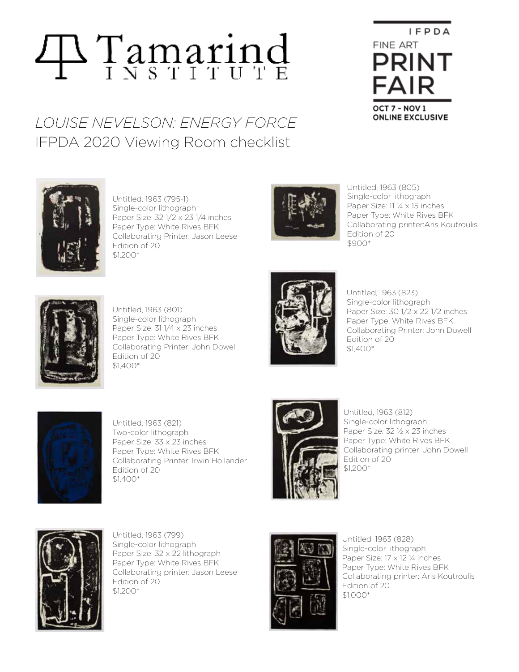## **Tamarind**

## *LOUISE NEVELSON: ENERGY FORCE* IFPDA 2020 Viewing Room checklist



Untitled, 1963 (795-1) Single-color lithograph Paper Size: 32 1/2 x 23 1/4 inches Paper Type: White Rives BFK Collaborating Printer: Jason Leese Edition of 20 \$1,200\*



Untitled, 1963 (805) Single-color lithograph Paper Size: 11 ¼ x 15 inches Paper Type: White Rives BFK Collaborating printer:Aris Koutroulis Edition of 20 \$900\*

 $I$  F P D A

FINE ART

**PRINT** 

**FAIR** 

OCT 7 - NOV 1 **ONLINE EXCLUSIVE** 



Untitled, 1963 (801) Single-color lithograph Paper Size: 31 1/4 x 23 inches Paper Type: White Rives BFK Collaborating Printer: John Dowell Edition of 20 \$1,400\*



Untitled, 1963 (823) Single-color lithograph Paper Size: 30 1/2 x 22 1/2 inches Paper Type: White Rives BFK Collaborating Printer: John Dowell Edition of 20 \$1,400\*



Untitled, 1963 (821) Two-color lithograph Paper Size: 33 x 23 inches Paper Type: White Rives BFK Collaborating Printer: Irwin Hollander Edition of 20 \$1,400\*



Untitled, 1963 (812) Single-color lithograph Paper Size: 32 ½ x 23 inches Paper Type: White Rives BFK Collaborating printer: John Dowell Edition of 20 \$1,200\*



Untitled, 1963 (799) Single-color lithograph Paper Size: 32 x 22 lithograph Paper Type: White Rives BFK Collaborating printer: Jason Leese Edition of 20 \$1,200\*



Untitled, 1963 (828) Single-color lithograph Paper Size: 17 x 12 ¼ inches Paper Type: White Rives BFK Collaborating printer: Aris Koutroulis Edition of 20 \$1,000\*